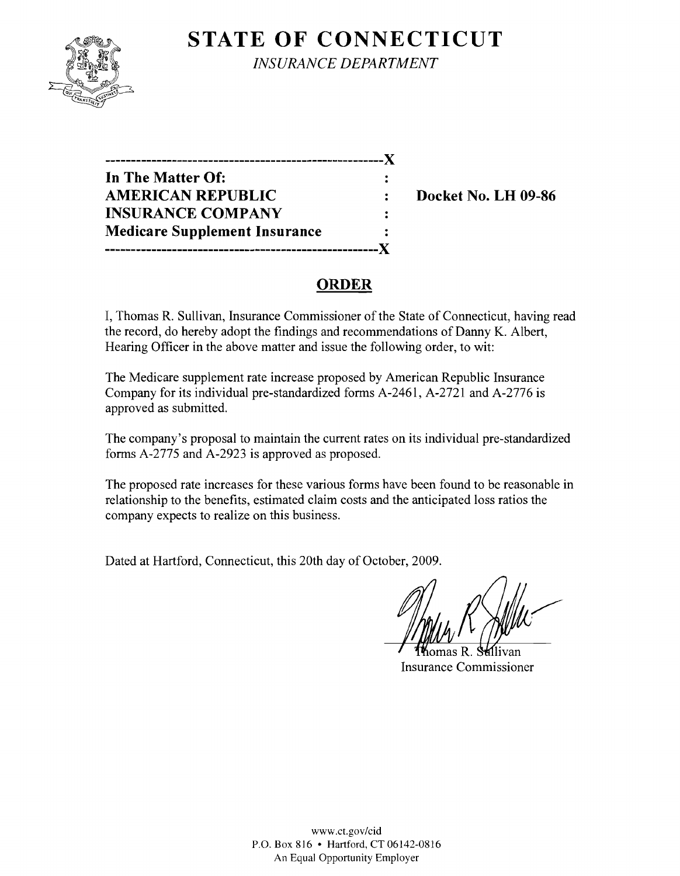

**STATE OF CONNECTICUT** *INSURANCE DEPARTMENT* 

**------------------------------------------------------**){ **In The Matter Of:**   $\ddot{\cdot}$ **AMERICAN REPUBLIC** : Docket No. LH 09-86 **INSURANCE COMPANY**  $\ddot{\cdot}$ **Medicare Supplement Insurance -----------------------------------------------------){** 

## **ORDER**

I, Thomas R. Sullivan, Insurance Commissioner of the State of Connecticut, having read the record, do hereby adopt the findings and recommendations of Danny K. Albert, Hearing Officer in the above matter and issue the following order, to wit:

The Medicare supplement rate increase proposed by American Republic Insurance Company for its individual pre-standardized forms A-2461, A-2721 and A-2776 is approved as submitted.

The company's proposal to maintain the current rates on its individual pre-standardized forms A-2775 and A-2923 is approved as proposed.

The proposed rate increases for these various forms have been found to be reasonable in relationship to the benefits, estimated claim costs and the anticipated loss ratios the company expects to realize on this business.

Dated at Hartford, Connecticut, this 20th day of October, 2009.

omas R⊥ Insurance Commissioner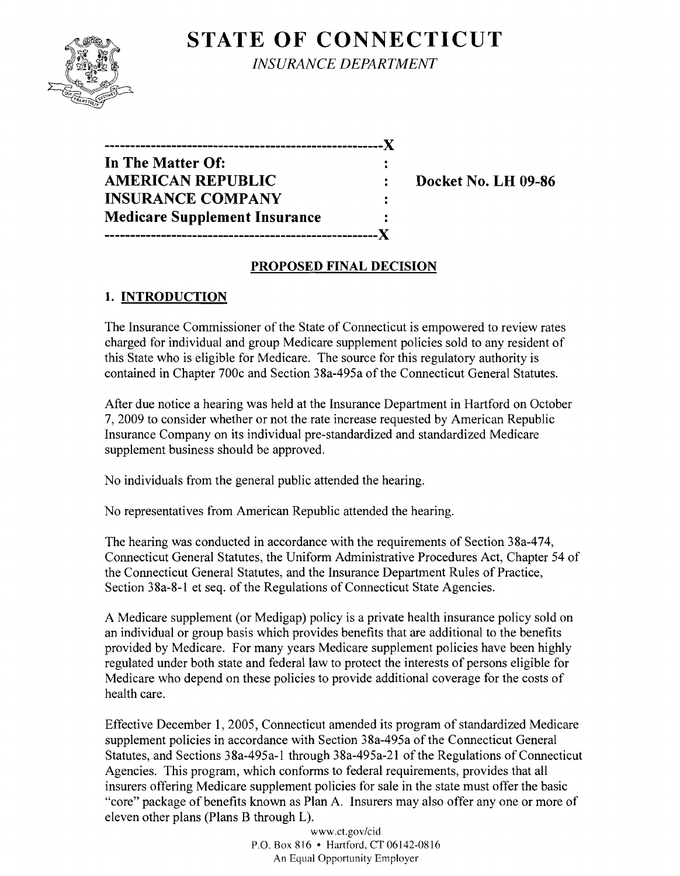# **STATE OF CONNECTICUT**



*INSURANCE DEPARTMENT* 

| --------------------------           |   |
|--------------------------------------|---|
| In The Matter Of:                    |   |
| <b>AMERICAN REPUBLIC</b>             |   |
| <b>INSURANCE COMPANY</b>             |   |
| <b>Medicare Supplement Insurance</b> | ÷ |
| ------------                         |   |

**Docket No. LH 09-86** 

### **PROPOSED FINAL DECISION**

## **1. INTRODUCTION**

The Insurance Commissioner of the State of Connecticut is empowered to review rates charged for individual and group Medicare supplement policies sold to any resident of this State who is eligible for Medicare. The source for this regulatory authority is contained in Chapter 700c and Section 38a-495a of the Connecticut General Statutes.

After due notice a hearing was held at the Insurance Department in Hartford on October 7,2009 to consider whether or not the rate increase requested by American Republic Insurance Company on its individual pre-standardized and standardized Medicare supplement business should be approved.

No individuals from the general public attended the hearing.

No representatives from American Republic attended the hearing.

The hearing was conducted in accordance with the requirements of Section 38a-474, Connecticut General Statutes, the Uniform Administrative Procedures Act, Chapter 54 of the Connecticut General Statutes, and the Insurance Department Rules of Practice, Section 38a-8-1 et seq. of the Regulations of Connecticut State Agencies.

A Medicare supplement (or Medigap) policy is a private health insurance policy sold on an individual or group basis which provides benefits that are additional to the benefits provided by Medicare. For many years Medicare supplement policies have been highly regulated under both state and federal law to protect the interests of persons eligible for Medicare who depend on these policies to provide additional coverage for the costs of health care.

Effective December 1, 2005, Connecticut amended its program of standardized Medicare supplement policies in accordance with Section 38a-495a of the Connecticut General Statutes, and Sections 38a-495a-1 through 38a-495a-21 of the Regulations of Connecticut Agencies. This program, which conforms to federal requirements, provides that all insurers offering Medicare supplement policies for sale in the state must offer the basic "core" package of benefits known as Plan A. Insurers may also offer anyone or more of eleven other plans (Plans B through L).

> www.ct.gov/cid P.O. Box 816 • Hartford, CT 06142-0816 An Equal Opportunity Employer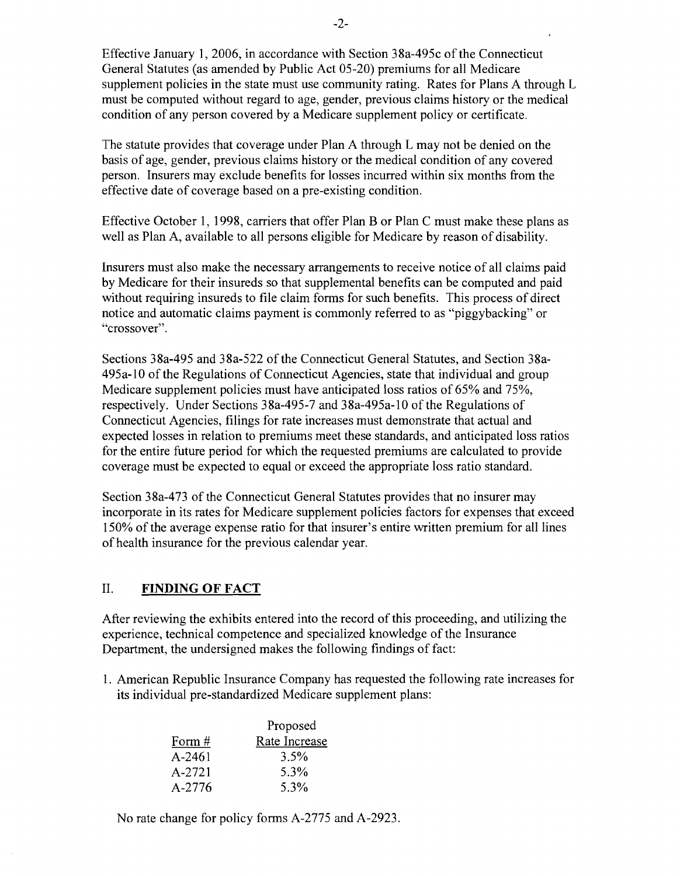Effective January 1,2006, in accordance with Section 38a-495c of the Connecticut General Statutes (as amended by Public Act 05-20) premiums for all Medicare supplement policies in the state must use community rating. Rates for Plans A through L must be computed without regard to age, gender, previous claims history or the medical condition of any person covered by a Medicare supplement policy or certificate.

The statute provides that coverage under Plan A through L may not be denied on the basis of age, gender, previous claims history or the medical condition of any covered person. Insurers may exclude benefits for losses incurred within six months from the effective date of coverage based on a pre-existing condition.

Effective October 1, 1998, carriers that offer Plan B or Plan C must make these plans as well as Plan A, available to all persons eligible for Medicare by reason of disability.

Insurers must also make the necessary arrangements to receive notice of all claims paid by Medicare for their insureds so that supplemental benefits can be computed and paid without requiring insureds to file claim forms for such benefits. This process of direct notice and automatic claims payment is commonly referred to as "piggybacking" or "crossover".

Sections 38a-495 and 38a-522 of the Connecticut General Statutes, and Section 38a-495a-l0 of the Regulations of Connecticut Agencies, state that individual and group Medicare supplement policies must have anticipated loss ratios of 65% and 75%, respectively. Under Sections 38a-495-7 and 38a-495a-l0 of the Regulations of Connecticut Agencies, filings for rate increases must demonstrate that actual and expected losses in relation to premiums meet these standards, and anticipated loss ratios for the entire future period for which the requested premiums are calculated to provide coverage must be expected to equal or exceed the appropriate loss ratio standard.

Section 38a-473 of the Connecticut General Statutes provides that no insurer may incorporate in its rates for Medicare supplement policies factors for expenses that exceed 150% of the average expense ratio for that insurer's entire written premium for all lines of health insurance for the previous calendar year.

#### II. **FINDING OF FACT**

After reviewing the exhibits entered into the record of this proceeding, and utilizing the experience, technical competence and specialized knowledge of the Insurance Department, the undersigned makes the following findings of fact:

1. American Republic Insurance Company has requested the following rate increases for its individual pre-standardized Medicare supplement plans:

|            | Proposed      |  |
|------------|---------------|--|
| Form $#$   | Rate Increase |  |
| $A - 2461$ | $3.5\%$       |  |
| $A - 2721$ | 5.3%          |  |
| $A - 2776$ | 5.3%          |  |

No rate change for policy forms A-2775 and A-2923.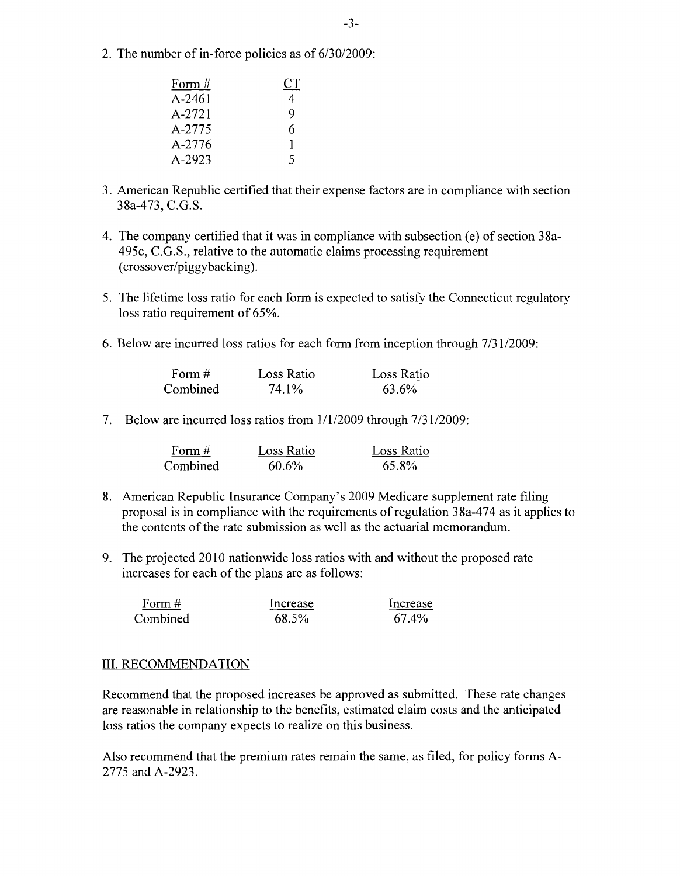2. The number of in-force policies as of *6/3012009:* 

| Form $#$   | СT |
|------------|----|
| $A - 2461$ | 4  |
| A-2721     | Q  |
| A-2775     | 6  |
| A-2776     | L  |
| A-2923     | 5  |

- 3. American Republic certified that their expense factors are in compliance with section 38a-473, C.G.S.
- 4. The company certified that it was in compliance with subsection (e) of section 38a-495c, e.G.S., relative to the automatic claims processing requirement (crossover/piggybacking).
- 5. The lifetime loss ratio for each form is expected to satisfy the Connecticut regulatory loss ratio requirement of 65%.
- 6. Below are incurred loss ratios for each form from inception through 7/31/2009:

| Form $#$ | Loss Ratio | Loss Ratio |
|----------|------------|------------|
| Combined | 74.1%      | 63.6%      |

7. Below are incurred loss ratios from 1/1/2009 through *7/3112009:* 

| Form $#$ | Loss Ratio | Loss Ratio |
|----------|------------|------------|
| Combined | $60.6\%$   | 65.8%      |

- 8. American Republic Insurance Company's 2009 Medicare supplement rate filing proposal is in compliance with the requirements of regulation 38a-474 as it applies to the contents of the rate submission as well as the actuarial memorandum.
- 9. The projected 2010 nationwide loss ratios with and without the proposed rate increases for each of the plans are as follows:

| Form $#$ | Increase | Increase |
|----------|----------|----------|
| Combined | 68.5%    | 67.4%    |

#### III. RECOMMENDATION

Recommend that the proposed increases be approved as submitted. These rate changes are reasonable in relationship to the benefits, estimated claim costs and the anticipated loss ratios the company expects to realize on this business.

Also recommend that the premium rates remain the same, as filed, for policy fonns A-2775 and A-2923.